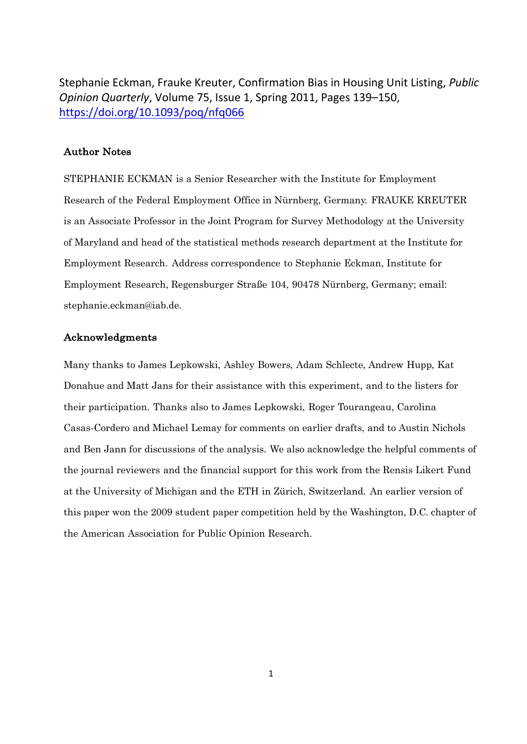Stephanie Eckman, Frauke Kreuter, Confirmation Bias in Housing Unit Listing, *Public Opinion Quarterly*, Volume 75, Issue 1, Spring 2011, Pages 139–150, <https://doi.org/10.1093/poq/nfq066>

### Author Notes

STEPHANIE ECKMAN is a Senior Researcher with the Institute for Employment Research of the Federal Employment Office in Nürnberg, Germany. FRAUKE KREUTER is an Associate Professor in the Joint Program for Survey Methodology at the University of Maryland and head of the statistical methods research department at the Institute for Employment Research. Address correspondence to Stephanie Eckman, Institute for Employment Research, Regensburger Straße 104, 90478 Nürnberg, Germany; email: stephani[e.eckman@iab.de](mailto:eckman@iab.de).

#### Acknowledgments

Many thanks to James Lepkowski, Ashley Bowers, Adam Schlecte, Andrew Hupp, Kat Donahue and Matt Jans for their assistance with this experiment, and to the listers for their participation. Thanks also to James Lepkowski, Roger Tourangeau, Carolina Casas-Cordero and Michael Lemay for comments on earlier drafts, and to Austin Nichols and Ben Jann for discussions of the analysis. We also acknowledge the helpful comments of the journal reviewers and the financial support for this work from the Rensis Likert Fund at the University of Michigan and the ETH in Zürich, Switzerland. An earlier version of this paper won the 2009 student paper competition held by the Washington, D.C. chapter of the American Association for Public Opinion Research.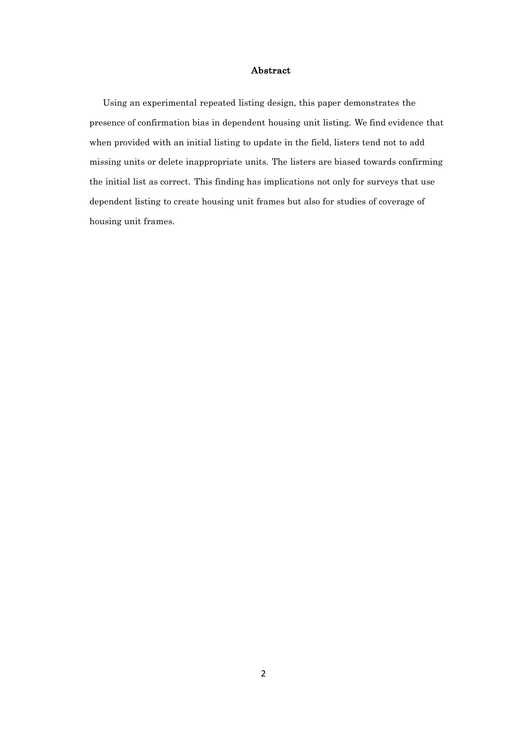#### Abstract

Using an experimental repeated listing design, this paper demonstrates the presence of confirmation bias in dependent housing unit listing. We find evidence that when provided with an initial listing to update in the field, listers tend not to add missing units or delete inappropriate units. The listers are biased towards confirming the initial list as correct. This finding has implications not only for surveys that use dependent listing to create housing unit frames but also for studies of coverage of housing unit frames.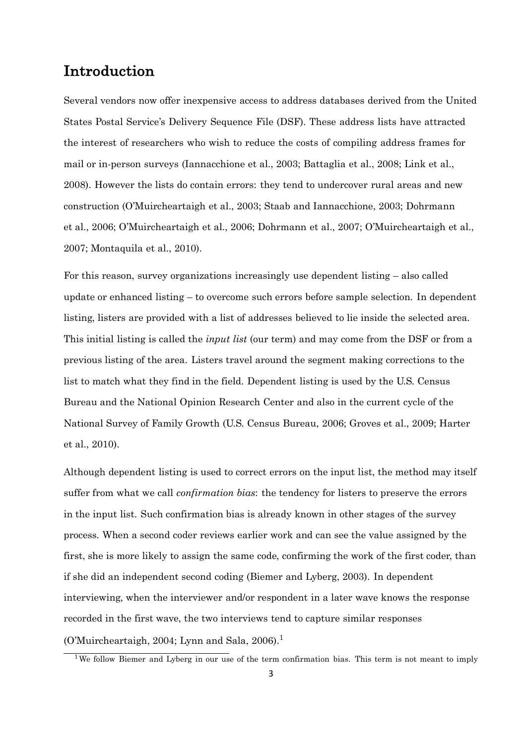# Introduction

Several vendors now offer inexpensive access to address databases derived from the United States Postal Service's Delivery Sequence File (DSF). These address lists have attracted the interest of researchers who wish to reduce the costs of compiling address frames for mail or in-person surveys (Iannacchione et al., 2003; Battaglia et al., 2008; Link et al., 2008). However the lists do contain errors: they tend to undercover rural areas and new construction (O'Muircheartaigh et al., 2003; Staab and Iannacchione, 2003; Dohrmann et al., 2006; O'Muircheartaigh et al., 2006; Dohrmann et al., 2007; O'Muircheartaigh et al., 2007; Montaquila et al., 2010).

For this reason, survey organizations increasingly use dependent listing – also called update or enhanced listing – to overcome such errors before sample selection. In dependent listing, listers are provided with a list of addresses believed to lie inside the selected area. This initial listing is called the *input list* (our term) and may come from the DSF or from a previous listing of the area. Listers travel around the segment making corrections to the list to match what they find in the field. Dependent listing is used by the U.S. Census Bureau and the National Opinion Research Center and also in the current cycle of the National Survey of Family Growth (U.S. Census Bureau, 2006; Groves et al., 2009; Harter et al., 2010).

Although dependent listing is used to correct errors on the input list, the method may itself suffer from what we call *confirmation bias*: the tendency for listers to preserve the errors in the input list. Such confirmation bias is already known in other stages of the survey process. When a second coder reviews earlier work and can see the value assigned by the first, she is more likely to assign the same code, confirming the work of the first coder, than if she did an independent second coding (Biemer and Lyberg, 2003). In dependent interviewing, when the interviewer and/or respondent in a later wave knows the response recorded in the first wave, the two interviews tend to capture similar responses (O'Muircheartaigh, 2004; Lynn and Sala, 2006).<sup>1</sup>

<sup>&</sup>lt;sup>1</sup>We follow Biemer and Lyberg in our use of the term confirmation bias. This term is not meant to imply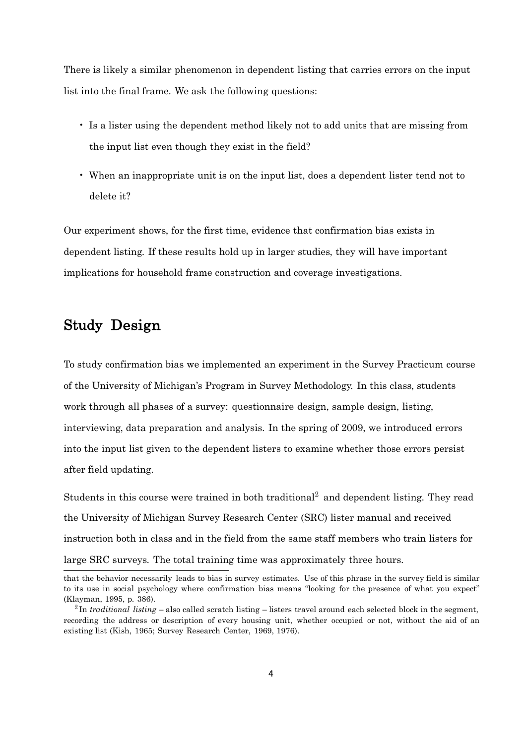There is likely a similar phenomenon in dependent listing that carries errors on the input list into the final frame. We ask the following questions:

- Is a lister using the dependent method likely not to add units that are missing from the input list even though they exist in the field?
- When an inappropriate unit is on the input list, does a dependent lister tend not to delete it?

Our experiment shows, for the first time, evidence that confirmation bias exists in dependent listing. If these results hold up in larger studies, they will have important implications for household frame construction and coverage investigations.

# Study Design

To study confirmation bias we implemented an experiment in the Survey Practicum course of the University of Michigan's Program in Survey Methodology. In this class, students work through all phases of a survey: questionnaire design, sample design, listing, interviewing, data preparation and analysis. In the spring of 2009, we introduced errors into the input list given to the dependent listers to examine whether those errors persist after field updating.

Students in this course were trained in both traditional<sup>2</sup> and dependent listing. They read the University of Michigan Survey Research Center (SRC) lister manual and received instruction both in class and in the field from the same staff members who train listers for large SRC surveys. The total training time was approximately three hours.

that the behavior necessarily leads to bias in survey estimates. Use of this phrase in the survey field is similar to its use in social psychology where confirmation bias means "looking for the presence of what you expect" (Klayman, 1995, p. 386).

<sup>2</sup> In *traditional listing* – also called scratch listing – listers travel around each selected block in the segment, recording the address or description of every housing unit, whether occupied or not, without the aid of an existing list (Kish, 1965; Survey Research Center, 1969, 1976).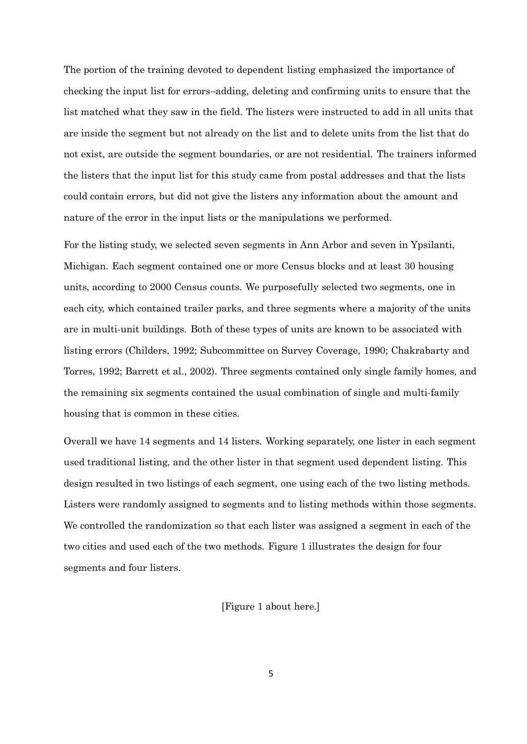The portion of the training devoted to dependent listing emphasized the importance of checking the input list for errors–adding, deleting and confirming units to ensure that the list matched what they saw in the field. The listers were instructed to add in all units that are inside the segment but not already on the list and to delete units from the list that do not exist, are outside the segment boundaries, or are not residential. The trainers informed the listers that the input list for this study came from postal addresses and that the lists could contain errors, but did not give the listers any information about the amount and nature of the error in the input lists or the manipulations we performed.

For the listing study, we selected seven segments in Ann Arbor and seven in Ypsilanti, Michigan. Each segment contained one or more Census blocks and at least 30 housing units, according to 2000 Census counts. We purposefully selected two segments, one in each city, which contained trailer parks, and three segments where a majority of the units are in multi-unit buildings. Both of these types of units are known to be associated with listing errors (Childers, 1992; Subcommittee on Survey Coverage, 1990; Chakrabarty and Torres, 1992; Barrett et al., 2002). Three segments contained only single family homes, and the remaining six segments contained the usual combination of single and multi-family housing that is common in these cities.

Overall we have 14 segments and 14 listers. Working separately, one lister in each segment used traditional listing, and the other lister in that segment used dependent listing. This design resulted in two listings of each segment, one using each of the two listing methods. Listers were randomly assigned to segments and to listing methods within those segments. We controlled the randomization so that each lister was assigned a segment in each of the two cities and used each of the two methods. Figure 1 illustrates the design for four segments and four listers.

[Figure 1 about here.]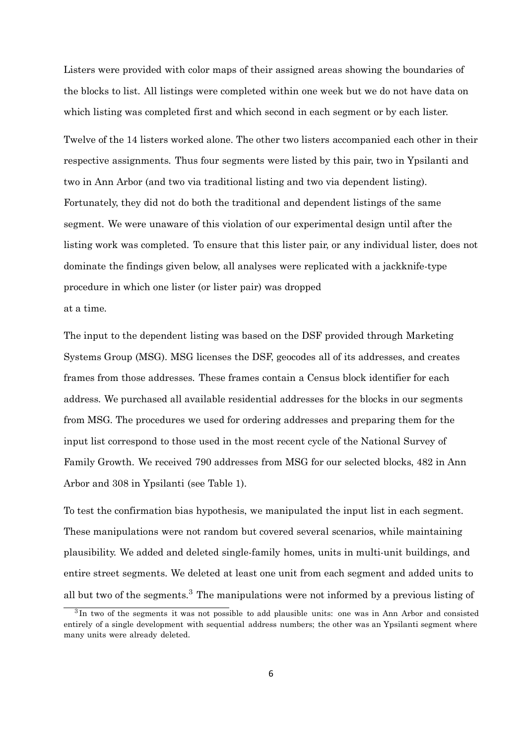Listers were provided with color maps of their assigned areas showing the boundaries of the blocks to list. All listings were completed within one week but we do not have data on which listing was completed first and which second in each segment or by each lister.

Twelve of the 14 listers worked alone. The other two listers accompanied each other in their respective assignments. Thus four segments were listed by this pair, two in Ypsilanti and two in Ann Arbor (and two via traditional listing and two via dependent listing). Fortunately, they did not do both the traditional and dependent listings of the same segment. We were unaware of this violation of our experimental design until after the listing work was completed. To ensure that this lister pair, or any individual lister, does not dominate the findings given below, all analyses were replicated with a jackknife-type procedure in which one lister (or lister pair) was dropped at a time.

The input to the dependent listing was based on the DSF provided through Marketing Systems Group (MSG). MSG licenses the DSF, geocodes all of its addresses, and creates frames from those addresses. These frames contain a Census block identifier for each address. We purchased all available residential addresses for the blocks in our segments from MSG. The procedures we used for ordering addresses and preparing them for the input list correspond to those used in the most recent cycle of the National Survey of Family Growth. We received 790 addresses from MSG for our selected blocks, 482 in Ann Arbor and 308 in Ypsilanti (see Table 1).

To test the confirmation bias hypothesis, we manipulated the input list in each segment. These manipulations were not random but covered several scenarios, while maintaining plausibility. We added and deleted single-family homes, units in multi-unit buildings, and entire street segments. We deleted at least one unit from each segment and added units to all but two of the segments.<sup>3</sup> The manipulations were not informed by a previous listing of

<sup>&</sup>lt;sup>3</sup>In two of the segments it was not possible to add plausible units: one was in Ann Arbor and consisted entirely of a single development with sequential address numbers; the other was an Ypsilanti segment where many units were already deleted.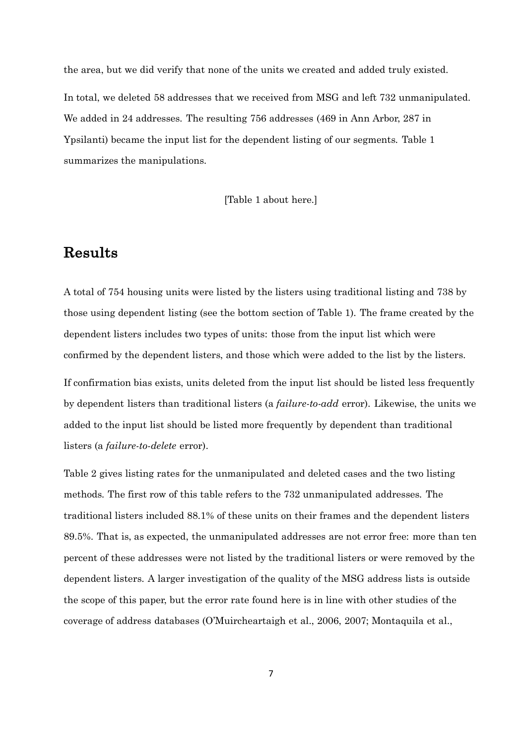the area, but we did verify that none of the units we created and added truly existed. In total, we deleted 58 addresses that we received from MSG and left 732 unmanipulated. We added in 24 addresses. The resulting 756 addresses (469 in Ann Arbor, 287 in Ypsilanti) became the input list for the dependent listing of our segments. Table 1 summarizes the manipulations.

[Table 1 about here.]

## Results

A total of 754 housing units were listed by the listers using traditional listing and 738 by those using dependent listing (see the bottom section of Table 1). The frame created by the dependent listers includes two types of units: those from the input list which were confirmed by the dependent listers, and those which were added to the list by the listers.

If confirmation bias exists, units deleted from the input list should be listed less frequently by dependent listers than traditional listers (a *failure-to-add* error). Likewise, the units we added to the input list should be listed more frequently by dependent than traditional listers (a *failure-to-delete* error).

Table 2 gives listing rates for the unmanipulated and deleted cases and the two listing methods. The first row of this table refers to the 732 unmanipulated addresses. The traditional listers included 88.1% of these units on their frames and the dependent listers 89.5%. That is, as expected, the unmanipulated addresses are not error free: more than ten percent of these addresses were not listed by the traditional listers or were removed by the dependent listers. A larger investigation of the quality of the MSG address lists is outside the scope of this paper, but the error rate found here is in line with other studies of the coverage of address databases (O'Muircheartaigh et al., 2006, 2007; Montaquila et al.,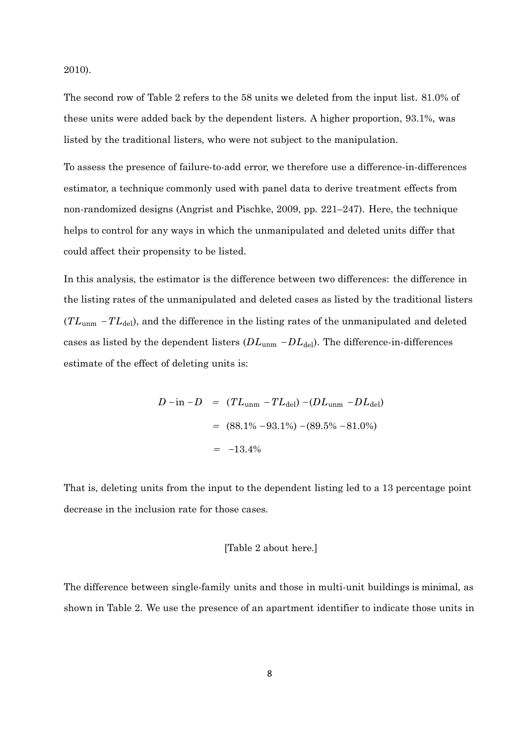2010).

The second row of Table 2 refers to the 58 units we deleted from the input list. 81.0% of these units were added back by the dependent listers. A higher proportion, 93.1%, was listed by the traditional listers, who were not subject to the manipulation.

To assess the presence of failure-to-add error, we therefore use a difference-in-differences estimator, a technique commonly used with panel data to derive treatment effects from non-randomized designs (Angrist and Pischke, 2009, pp. 221–247). Here, the technique helps to control for any ways in which the unmanipulated and deleted units differ that could affect their propensity to be listed.

In this analysis, the estimator is the difference between two differences: the difference in the listing rates of the unmanipulated and deleted cases as listed by the traditional listers (*TL*<sub>unm</sub> −*TL*<sub>del</sub>), and the difference in the listing rates of the unmanipulated and deleted cases as listed by the dependent listers ( $DL_{\text{unm}}$  – $DL_{\text{del}}$ ). The difference-in-differences estimate of the effect of deleting units is:

$$
D - in - D = (TL_{\text{unm}} - TL_{\text{del}}) - (DL_{\text{unm}} - DL_{\text{del}})
$$
  
= (88.1% - 93.1%) - (89.5% - 81.0%)  
= -13.4%

That is, deleting units from the input to the dependent listing led to a 13 percentage point decrease in the inclusion rate for those cases.

### [Table 2 about here.]

The difference between single-family units and those in multi-unit buildings is minimal, as shown in Table 2. We use the presence of an apartment identifier to indicate those units in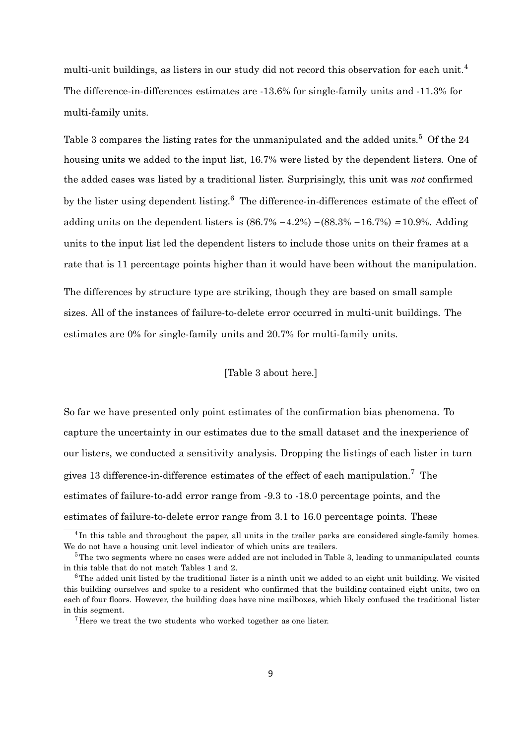multi-unit buildings, as listers in our study did not record this observation for each unit.<sup>4</sup> The difference-in-differences estimates are -13.6% for single-family units and -11.3% for multi-family units.

Table 3 compares the listing rates for the unmanipulated and the added units.<sup>5</sup> Of the 24 housing units we added to the input list, 16.7% were listed by the dependent listers. One of the added cases was listed by a traditional lister. Surprisingly, this unit was *not* confirmed by the lister using dependent listing.<sup>6</sup> The difference-in-differences estimate of the effect of adding units on the dependent listers is  $(86.7% - 4.2%) - (88.3% - 16.7%) = 10.9%.$  Adding units to the input list led the dependent listers to include those units on their frames at a rate that is 11 percentage points higher than it would have been without the manipulation.

The differences by structure type are striking, though they are based on small sample sizes. All of the instances of failure-to-delete error occurred in multi-unit buildings. The estimates are 0% for single-family units and 20.7% for multi-family units.

### [Table 3 about here.]

So far we have presented only point estimates of the confirmation bias phenomena. To capture the uncertainty in our estimates due to the small dataset and the inexperience of our listers, we conducted a sensitivity analysis. Dropping the listings of each lister in turn gives 13 difference-in-difference estimates of the effect of each manipulation.<sup>7</sup> The estimates of failure-to-add error range from -9.3 to -18.0 percentage points, and the estimates of failure-to-delete error range from 3.1 to 16.0 percentage points. These

<sup>&</sup>lt;sup>4</sup>In this table and throughout the paper, all units in the trailer parks are considered single-family homes. We do not have a housing unit level indicator of which units are trailers.

<sup>&</sup>lt;sup>5</sup>The two segments where no cases were added are not included in Table 3, leading to unmanipulated counts in this table that do not match Tables 1 and 2.

 $6$ The added unit listed by the traditional lister is a ninth unit we added to an eight unit building. We visited this building ourselves and spoke to a resident who confirmed that the building contained eight units, two on each of four floors. However, the building does have nine mailboxes, which likely confused the traditional lister in this segment.

 $7$  Here we treat the two students who worked together as one lister.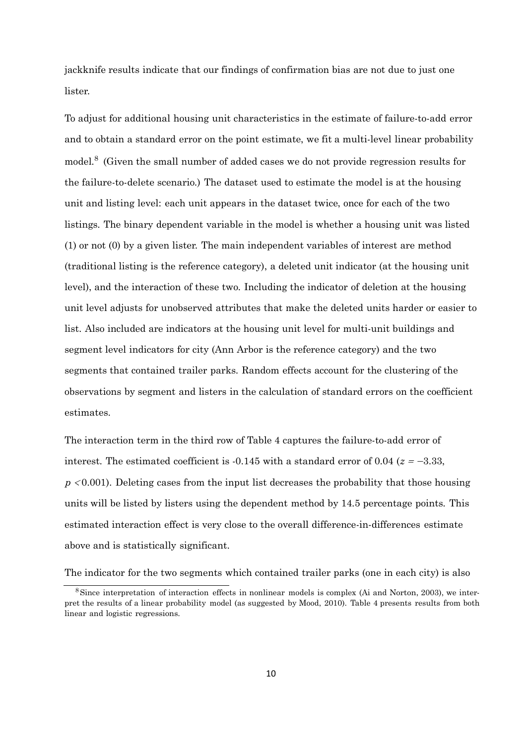jackknife results indicate that our findings of confirmation bias are not due to just one lister.

To adjust for additional housing unit characteristics in the estimate of failure-to-add error and to obtain a standard error on the point estimate, we fit a multi-level linear probability model.<sup>8</sup> (Given the small number of added cases we do not provide regression results for the failure-to-delete scenario.) The dataset used to estimate the model is at the housing unit and listing level: each unit appears in the dataset twice, once for each of the two listings. The binary dependent variable in the model is whether a housing unit was listed (1) or not (0) by a given lister. The main independent variables of interest are method (traditional listing is the reference category), a deleted unit indicator (at the housing unit level), and the interaction of these two. Including the indicator of deletion at the housing unit level adjusts for unobserved attributes that make the deleted units harder or easier to list. Also included are indicators at the housing unit level for multi-unit buildings and segment level indicators for city (Ann Arbor is the reference category) and the two segments that contained trailer parks. Random effects account for the clustering of the observations by segment and listers in the calculation of standard errors on the coefficient estimates.

The interaction term in the third row of Table 4 captures the failure-to-add error of interest. The estimated coefficient is  $-0.145$  with a standard error of 0.04 ( $z = -3.33$ , *p* <sup>&</sup>lt; 0.001). Deleting cases from the input list decreases the probability that those housing units will be listed by listers using the dependent method by 14.5 percentage points. This estimated interaction effect is very close to the overall difference-in-differences estimate above and is statistically significant.

The indicator for the two segments which contained trailer parks (one in each city) is also

<sup>&</sup>lt;sup>8</sup>Since interpretation of interaction effects in nonlinear models is complex (Ai and Norton, 2003), we interpret the results of a linear probability model (as suggested by Mood, 2010). Table 4 presents results from both linear and logistic regressions.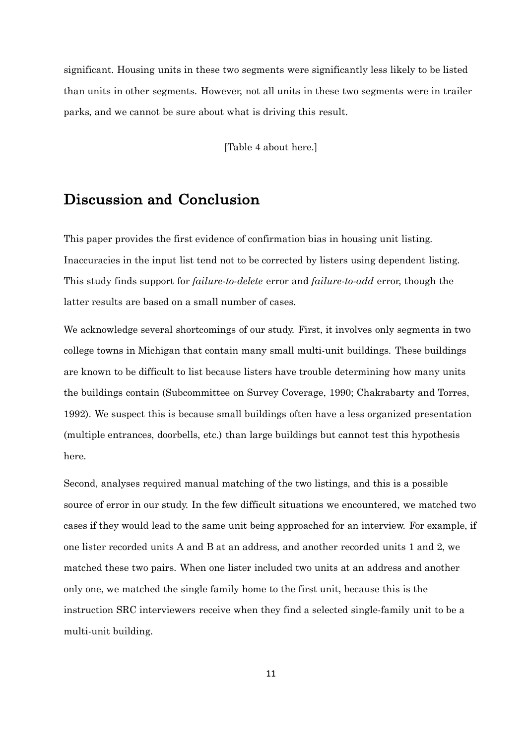significant. Housing units in these two segments were significantly less likely to be listed than units in other segments. However, not all units in these two segments were in trailer parks, and we cannot be sure about what is driving this result.

[Table 4 about here.]

### Discussion and Conclusion

This paper provides the first evidence of confirmation bias in housing unit listing. Inaccuracies in the input list tend not to be corrected by listers using dependent listing. This study finds support for *failure-to-delete* error and *failure-to-add* error, though the latter results are based on a small number of cases.

We acknowledge several shortcomings of our study. First, it involves only segments in two college towns in Michigan that contain many small multi-unit buildings. These buildings are known to be difficult to list because listers have trouble determining how many units the buildings contain (Subcommittee on Survey Coverage, 1990; Chakrabarty and Torres, 1992). We suspect this is because small buildings often have a less organized presentation (multiple entrances, doorbells, etc.) than large buildings but cannot test this hypothesis here.

Second, analyses required manual matching of the two listings, and this is a possible source of error in our study. In the few difficult situations we encountered, we matched two cases if they would lead to the same unit being approached for an interview. For example, if one lister recorded units A and B at an address, and another recorded units 1 and 2, we matched these two pairs. When one lister included two units at an address and another only one, we matched the single family home to the first unit, because this is the instruction SRC interviewers receive when they find a selected single-family unit to be a multi-unit building.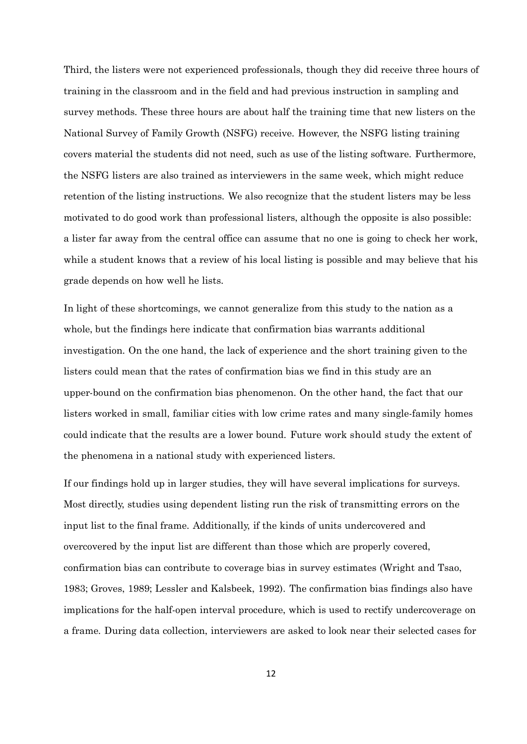Third, the listers were not experienced professionals, though they did receive three hours of training in the classroom and in the field and had previous instruction in sampling and survey methods. These three hours are about half the training time that new listers on the National Survey of Family Growth (NSFG) receive. However, the NSFG listing training covers material the students did not need, such as use of the listing software. Furthermore, the NSFG listers are also trained as interviewers in the same week, which might reduce retention of the listing instructions. We also recognize that the student listers may be less motivated to do good work than professional listers, although the opposite is also possible: a lister far away from the central office can assume that no one is going to check her work, while a student knows that a review of his local listing is possible and may believe that his grade depends on how well he lists.

In light of these shortcomings, we cannot generalize from this study to the nation as a whole, but the findings here indicate that confirmation bias warrants additional investigation. On the one hand, the lack of experience and the short training given to the listers could mean that the rates of confirmation bias we find in this study are an upper-bound on the confirmation bias phenomenon. On the other hand, the fact that our listers worked in small, familiar cities with low crime rates and many single-family homes could indicate that the results are a lower bound. Future work should study the extent of the phenomena in a national study with experienced listers.

If our findings hold up in larger studies, they will have several implications for surveys. Most directly, studies using dependent listing run the risk of transmitting errors on the input list to the final frame. Additionally, if the kinds of units undercovered and overcovered by the input list are different than those which are properly covered, confirmation bias can contribute to coverage bias in survey estimates (Wright and Tsao, 1983; Groves, 1989; Lessler and Kalsbeek, 1992). The confirmation bias findings also have implications for the half-open interval procedure, which is used to rectify undercoverage on a frame. During data collection, interviewers are asked to look near their selected cases for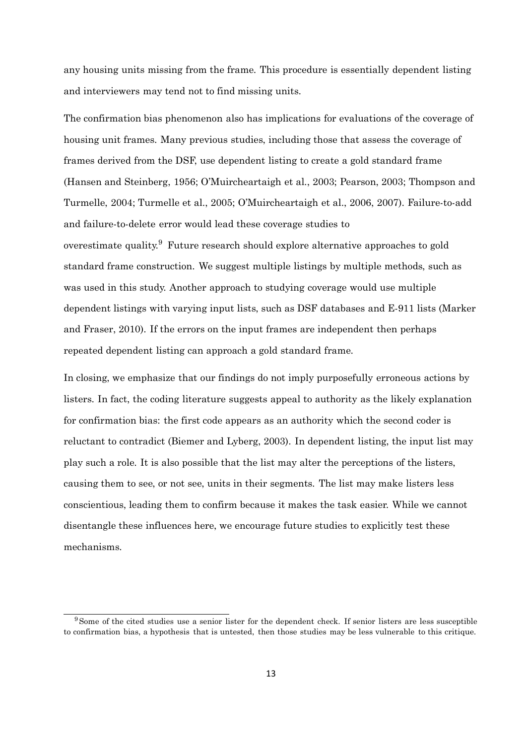any housing units missing from the frame. This procedure is essentially dependent listing and interviewers may tend not to find missing units.

The confirmation bias phenomenon also has implications for evaluations of the coverage of housing unit frames. Many previous studies, including those that assess the coverage of frames derived from the DSF, use dependent listing to create a gold standard frame (Hansen and Steinberg, 1956; O'Muircheartaigh et al., 2003; Pearson, 2003; Thompson and Turmelle, 2004; Turmelle et al., 2005; O'Muircheartaigh et al., 2006, 2007). Failure-to-add and failure-to-delete error would lead these coverage studies to overestimate quality.<sup>9</sup> Future research should explore alternative approaches to gold standard frame construction. We suggest multiple listings by multiple methods, such as was used in this study. Another approach to studying coverage would use multiple dependent listings with varying input lists, such as DSF databases and E-911 lists (Marker and Fraser, 2010). If the errors on the input frames are independent then perhaps repeated dependent listing can approach a gold standard frame.

In closing, we emphasize that our findings do not imply purposefully erroneous actions by listers. In fact, the coding literature suggests appeal to authority as the likely explanation for confirmation bias: the first code appears as an authority which the second coder is reluctant to contradict (Biemer and Lyberg, 2003). In dependent listing, the input list may play such a role. It is also possible that the list may alter the perceptions of the listers, causing them to see, or not see, units in their segments. The list may make listers less conscientious, leading them to confirm because it makes the task easier. While we cannot disentangle these influences here, we encourage future studies to explicitly test these mechanisms.

<sup>&</sup>lt;sup>9</sup>Some of the cited studies use a senior lister for the dependent check. If senior listers are less susceptible to confirmation bias, a hypothesis that is untested, then those studies may be less vulnerable to this critique.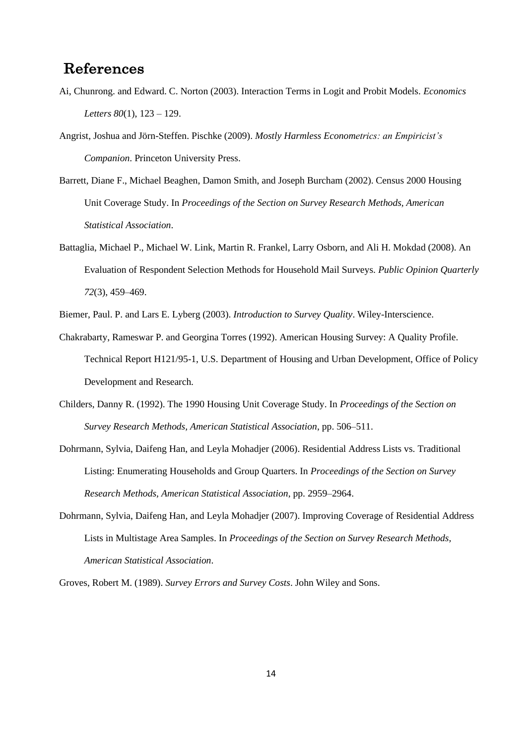# References

- Ai, Chunrong. and Edward. C. Norton (2003). Interaction Terms in Logit and Probit Models. *Economics Letters 80*(1), 123 – 129.
- Angrist, Joshua and Jörn-Steffen. Pischke (2009). *Mostly Harmless Econometrics: an Empiricist's Companion*. Princeton University Press.
- Barrett, Diane F., Michael Beaghen, Damon Smith, and Joseph Burcham (2002). Census 2000 Housing Unit Coverage Study. In *Proceedings of the Section on Survey Research Methods, American Statistical Association*.
- Battaglia, Michael P., Michael W. Link, Martin R. Frankel, Larry Osborn, and Ali H. Mokdad (2008). An Evaluation of Respondent Selection Methods for Household Mail Surveys. *Public Opinion Quarterly 72*(3), 459–469.
- Biemer, Paul. P. and Lars E. Lyberg (2003). *Introduction to Survey Quality*. Wiley-Interscience.
- Chakrabarty, Rameswar P. and Georgina Torres (1992). American Housing Survey: A Quality Profile. Technical Report H121/95-1, U.S. Department of Housing and Urban Development, Office of Policy Development and Research.
- Childers, Danny R. (1992). The 1990 Housing Unit Coverage Study. In *Proceedings of the Section on Survey Research Methods, American Statistical Association*, pp. 506–511.
- Dohrmann, Sylvia, Daifeng Han, and Leyla Mohadjer (2006). Residential Address Lists vs. Traditional Listing: Enumerating Households and Group Quarters. In *Proceedings of the Section on Survey Research Methods, American Statistical Association*, pp. 2959–2964.
- Dohrmann, Sylvia, Daifeng Han, and Leyla Mohadjer (2007). Improving Coverage of Residential Address Lists in Multistage Area Samples. In *Proceedings of the Section on Survey Research Methods, American Statistical Association*.

Groves, Robert M. (1989). *Survey Errors and Survey Costs*. John Wiley and Sons.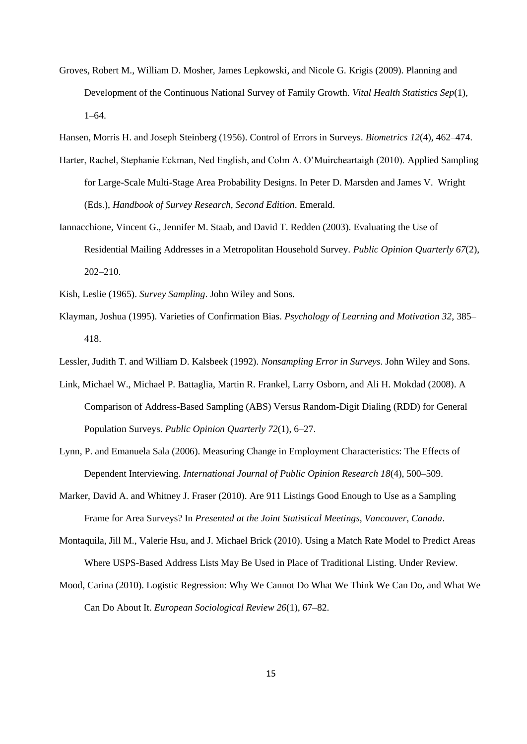Groves, Robert M., William D. Mosher, James Lepkowski, and Nicole G. Krigis (2009). Planning and Development of the Continuous National Survey of Family Growth. *Vital Health Statistics Sep*(1), 1–64.

Hansen, Morris H. and Joseph Steinberg (1956). Control of Errors in Surveys. *Biometrics 12*(4), 462–474.

- Harter, Rachel, Stephanie Eckman, Ned English, and Colm A. O'Muircheartaigh (2010). Applied Sampling for Large-Scale Multi-Stage Area Probability Designs. In Peter D. Marsden and James V. Wright (Eds.), *Handbook of Survey Research, Second Edition*. Emerald.
- Iannacchione, Vincent G., Jennifer M. Staab, and David T. Redden (2003). Evaluating the Use of Residential Mailing Addresses in a Metropolitan Household Survey. *Public Opinion Quarterly 67*(2), 202–210.

Kish, Leslie (1965). *Survey Sampling*. John Wiley and Sons.

Klayman, Joshua (1995). Varieties of Confirmation Bias. *Psychology of Learning and Motivation 32*, 385– 418.

Lessler, Judith T. and William D. Kalsbeek (1992). *Nonsampling Error in Surveys*. John Wiley and Sons.

- Link, Michael W., Michael P. Battaglia, Martin R. Frankel, Larry Osborn, and Ali H. Mokdad (2008). A Comparison of Address-Based Sampling (ABS) Versus Random-Digit Dialing (RDD) for General Population Surveys. *Public Opinion Quarterly 72*(1), 6–27.
- Lynn, P. and Emanuela Sala (2006). Measuring Change in Employment Characteristics: The Effects of Dependent Interviewing. *International Journal of Public Opinion Research 18*(4), 500–509.
- Marker, David A. and Whitney J. Fraser (2010). Are 911 Listings Good Enough to Use as a Sampling Frame for Area Surveys? In *Presented at the Joint Statistical Meetings, Vancouver, Canada*.
- Montaquila, Jill M., Valerie Hsu, and J. Michael Brick (2010). Using a Match Rate Model to Predict Areas Where USPS-Based Address Lists May Be Used in Place of Traditional Listing. Under Review.
- Mood, Carina (2010). Logistic Regression: Why We Cannot Do What We Think We Can Do, and What We Can Do About It. *European Sociological Review 26*(1), 67–82.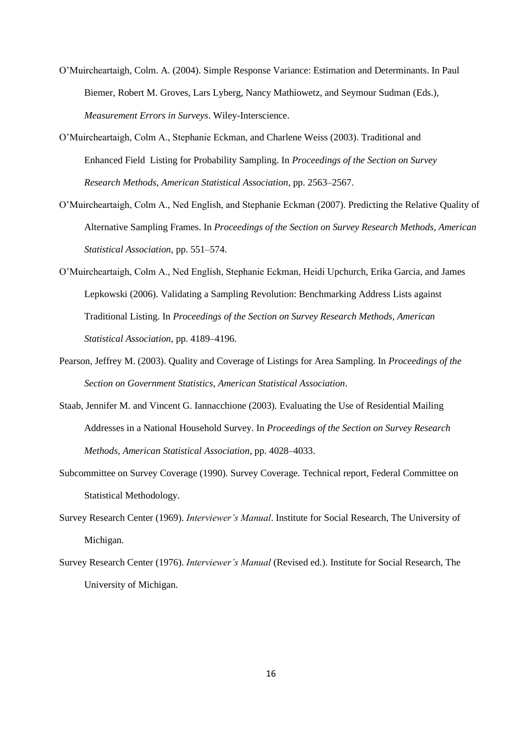- O'Muircheartaigh, Colm. A. (2004). Simple Response Variance: Estimation and Determinants. In Paul Biemer, Robert M. Groves, Lars Lyberg, Nancy Mathiowetz, and Seymour Sudman (Eds.), *Measurement Errors in Surveys*. Wiley-Interscience.
- O'Muircheartaigh, Colm A., Stephanie Eckman, and Charlene Weiss (2003). Traditional and Enhanced Field Listing for Probability Sampling. In *Proceedings of the Section on Survey Research Methods, American Statistical Association*, pp. 2563–2567.
- O'Muircheartaigh, Colm A., Ned English, and Stephanie Eckman (2007). Predicting the Relative Quality of Alternative Sampling Frames. In *Proceedings of the Section on Survey Research Methods, American Statistical Association*, pp. 551–574.
- O'Muircheartaigh, Colm A., Ned English, Stephanie Eckman, Heidi Upchurch, Erika Garcia, and James Lepkowski (2006). Validating a Sampling Revolution: Benchmarking Address Lists against Traditional Listing. In *Proceedings of the Section on Survey Research Methods, American Statistical Association*, pp. 4189–4196.
- Pearson, Jeffrey M. (2003). Quality and Coverage of Listings for Area Sampling. In *Proceedings of the Section on Government Statistics, American Statistical Association*.
- Staab, Jennifer M. and Vincent G. Iannacchione (2003). Evaluating the Use of Residential Mailing Addresses in a National Household Survey. In *Proceedings of the Section on Survey Research Methods, American Statistical Association*, pp. 4028–4033.
- Subcommittee on Survey Coverage (1990). Survey Coverage. Technical report, Federal Committee on Statistical Methodology.
- Survey Research Center (1969). *Interviewer's Manual*. Institute for Social Research, The University of Michigan.
- Survey Research Center (1976). *Interviewer's Manual* (Revised ed.). Institute for Social Research, The University of Michigan.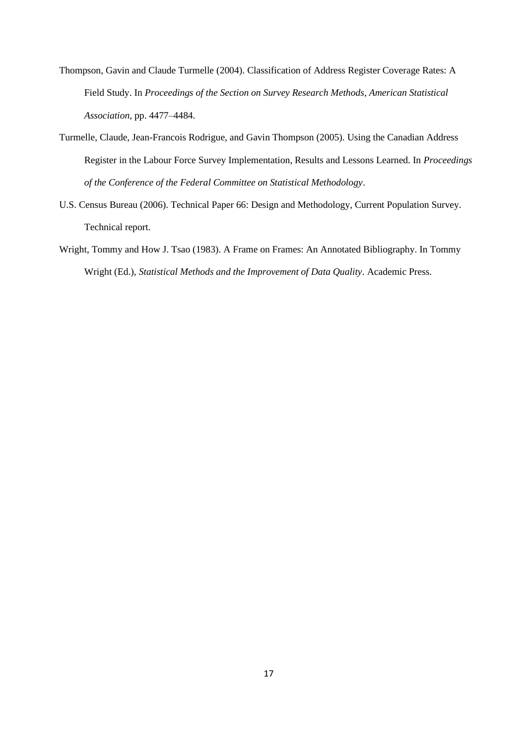- Thompson, Gavin and Claude Turmelle (2004). Classification of Address Register Coverage Rates: A Field Study. In *Proceedings of the Section on Survey Research Methods, American Statistical Association*, pp. 4477–4484.
- Turmelle, Claude, Jean-Francois Rodrigue, and Gavin Thompson (2005). Using the Canadian Address Register in the Labour Force Survey Implementation, Results and Lessons Learned. In *Proceedings of the Conference of the Federal Committee on Statistical Methodology*.
- U.S. Census Bureau (2006). Technical Paper 66: Design and Methodology, Current Population Survey. Technical report.
- Wright, Tommy and How J. Tsao (1983). A Frame on Frames: An Annotated Bibliography. In Tommy Wright (Ed.), *Statistical Methods and the Improvement of Data Quality*. Academic Press.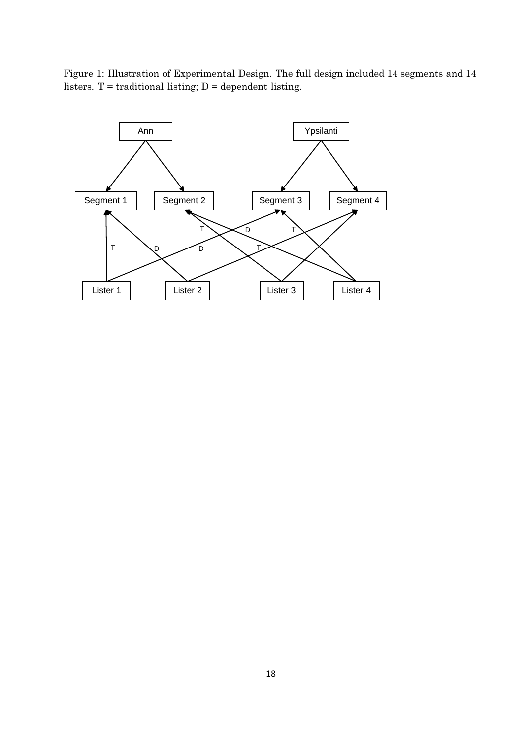

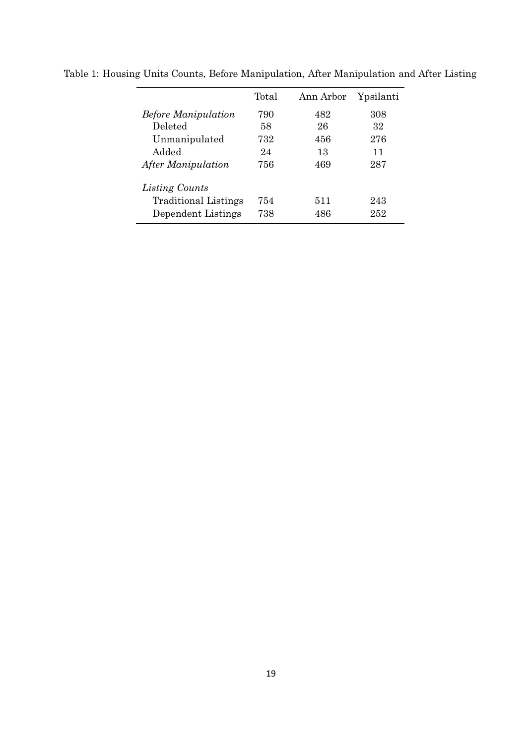|                             | Total | Ann Arbor | Ypsilanti |
|-----------------------------|-------|-----------|-----------|
| <b>Before Manipulation</b>  | 790   | 482       | 308       |
| Deleted                     | 58    | 26        | 32        |
| Unmanipulated               | 732   | 456       | 276       |
| Added                       | 24    | 13        | 11        |
| After Manipulation          | 756   | 469       | 287       |
| Listing Counts              |       |           |           |
| <b>Traditional Listings</b> | 754   | 511       | 243       |
| Dependent Listings          | 738   | 486       | 252       |

Table 1: Housing Units Counts, Before Manipulation, After Manipulation and After Listing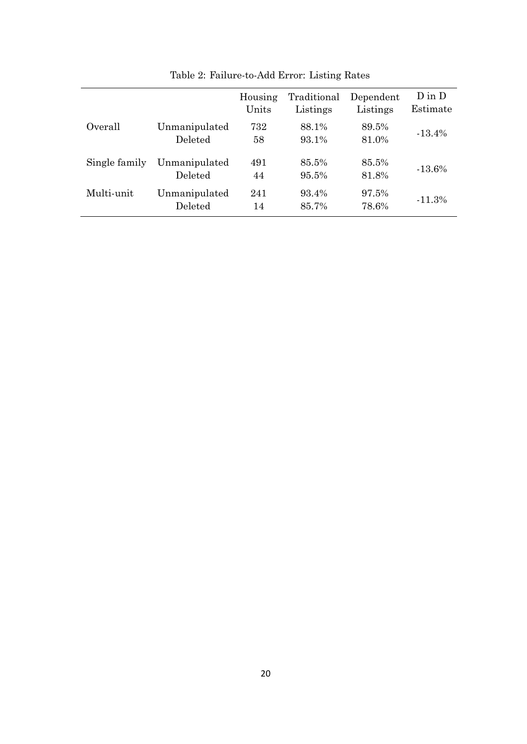|               |                          | Housing<br>Units | Traditional<br>Listings | Dependent<br>Listings | $D$ in $D$<br>Estimate |
|---------------|--------------------------|------------------|-------------------------|-----------------------|------------------------|
| Overall       | Unmanipulated<br>Deleted | 732<br>58        | 88.1%<br>93.1%          | 89.5%<br>81.0%        | $-13.4\%$              |
| Single family | Unmanipulated<br>Deleted | 491<br>44        | 85.5%<br>95.5%          | 85.5%<br>81.8%        | $-13.6\%$              |
| Multi-unit    | Unmanipulated<br>Deleted | 241<br>14        | 93.4%<br>85.7%          | 97.5%<br>78.6%        | $-11.3%$               |

Table 2: Failure-to-Add Error: Listing Rates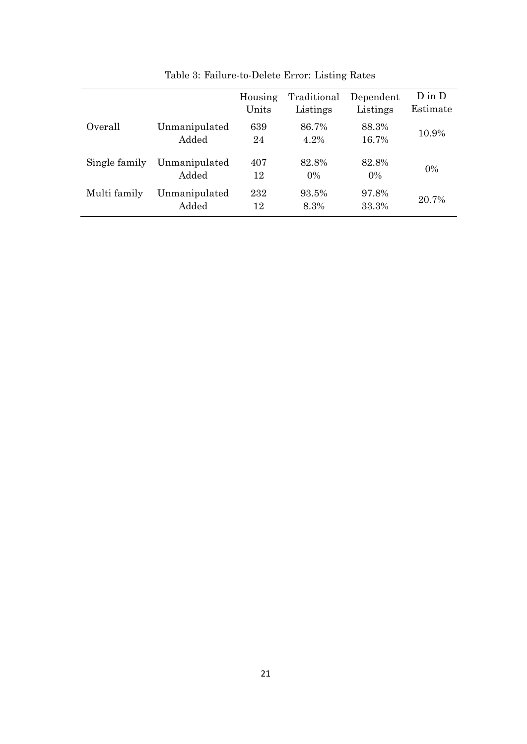|               |                        | Housing<br>Units | Traditional<br>Listings | Dependent<br>Listings | $D$ in $D$<br>Estimate |
|---------------|------------------------|------------------|-------------------------|-----------------------|------------------------|
| Overall       | Unmanipulated<br>Added | 639<br>24        | 86.7%<br>4.2%           | 88.3%<br>16.7%        | 10.9%                  |
| Single family | Unmanipulated<br>Added | 407<br>12        | 82.8%<br>$0\%$          | 82.8%<br>$0\%$        | $0\%$                  |
| Multi family  | Unmanipulated<br>Added | 232<br>12        | 93.5%<br>8.3%           | 97.8%<br>33.3%        | 20.7%                  |

Table 3: Failure-to-Delete Error: Listing Rates